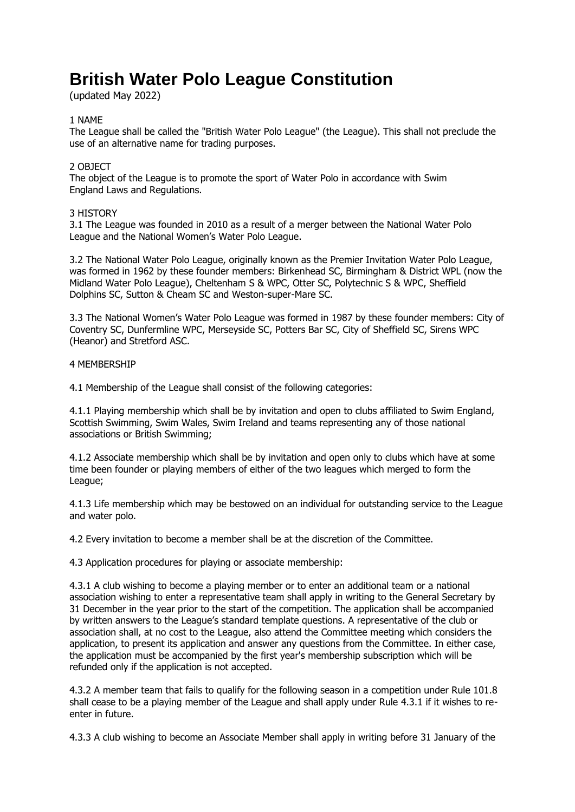# **British Water Polo League Constitution**

(updated May 2022)

# 1 NAME

The League shall be called the "British Water Polo League" (the League). This shall not preclude the use of an alternative name for trading purposes.

# 2 OBJECT

The object of the League is to promote the sport of Water Polo in accordance with Swim England Laws and Regulations.

# 3 HISTORY

3.1 The League was founded in 2010 as a result of a merger between the National Water Polo League and the National Women's Water Polo League.

3.2 The National Water Polo League, originally known as the Premier Invitation Water Polo League, was formed in 1962 by these founder members: Birkenhead SC, Birmingham & District WPL (now the Midland Water Polo League), Cheltenham S & WPC, Otter SC, Polytechnic S & WPC, Sheffield Dolphins SC, Sutton & Cheam SC and Weston-super-Mare SC.

3.3 The National Women's Water Polo League was formed in 1987 by these founder members: City of Coventry SC, Dunfermline WPC, Merseyside SC, Potters Bar SC, City of Sheffield SC, Sirens WPC (Heanor) and Stretford ASC.

# 4 MEMBERSHIP

4.1 Membership of the League shall consist of the following categories:

4.1.1 Playing membership which shall be by invitation and open to clubs affiliated to Swim England, Scottish Swimming, Swim Wales, Swim Ireland and teams representing any of those national associations or British Swimming;

4.1.2 Associate membership which shall be by invitation and open only to clubs which have at some time been founder or playing members of either of the two leagues which merged to form the League;

4.1.3 Life membership which may be bestowed on an individual for outstanding service to the League and water polo.

4.2 Every invitation to become a member shall be at the discretion of the Committee.

4.3 Application procedures for playing or associate membership:

4.3.1 A club wishing to become a playing member or to enter an additional team or a national association wishing to enter a representative team shall apply in writing to the General Secretary by 31 December in the year prior to the start of the competition. The application shall be accompanied by written answers to the League's standard template questions. A representative of the club or association shall, at no cost to the League, also attend the Committee meeting which considers the application, to present its application and answer any questions from the Committee. In either case, the application must be accompanied by the first year's membership subscription which will be refunded only if the application is not accepted.

4.3.2 A member team that fails to qualify for the following season in a competition under Rule 101.8 shall cease to be a playing member of the League and shall apply under Rule 4.3.1 if it wishes to reenter in future.

4.3.3 A club wishing to become an Associate Member shall apply in writing before 31 January of the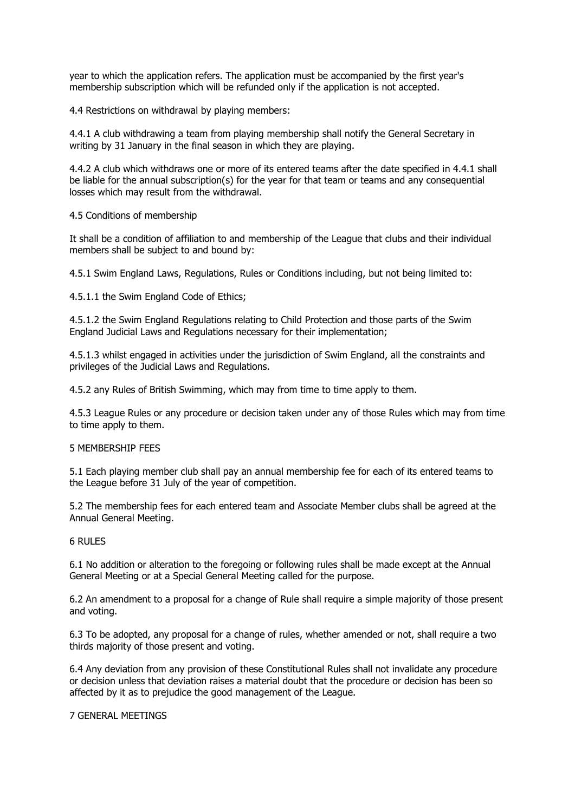year to which the application refers. The application must be accompanied by the first year's membership subscription which will be refunded only if the application is not accepted.

4.4 Restrictions on withdrawal by playing members:

4.4.1 A club withdrawing a team from playing membership shall notify the General Secretary in writing by 31 January in the final season in which they are playing.

4.4.2 A club which withdraws one or more of its entered teams after the date specified in 4.4.1 shall be liable for the annual subscription(s) for the year for that team or teams and any consequential losses which may result from the withdrawal.

4.5 Conditions of membership

It shall be a condition of affiliation to and membership of the League that clubs and their individual members shall be subject to and bound by:

4.5.1 Swim England Laws, Regulations, Rules or Conditions including, but not being limited to:

4.5.1.1 the Swim England Code of Ethics;

4.5.1.2 the Swim England Regulations relating to Child Protection and those parts of the Swim England Judicial Laws and Regulations necessary for their implementation;

4.5.1.3 whilst engaged in activities under the jurisdiction of Swim England, all the constraints and privileges of the Judicial Laws and Regulations.

4.5.2 any Rules of British Swimming, which may from time to time apply to them.

4.5.3 League Rules or any procedure or decision taken under any of those Rules which may from time to time apply to them.

#### 5 MEMBERSHIP FEES

5.1 Each playing member club shall pay an annual membership fee for each of its entered teams to the League before 31 July of the year of competition.

5.2 The membership fees for each entered team and Associate Member clubs shall be agreed at the Annual General Meeting.

#### 6 RULES

6.1 No addition or alteration to the foregoing or following rules shall be made except at the Annual General Meeting or at a Special General Meeting called for the purpose.

6.2 An amendment to a proposal for a change of Rule shall require a simple majority of those present and voting.

6.3 To be adopted, any proposal for a change of rules, whether amended or not, shall require a two thirds majority of those present and voting.

6.4 Any deviation from any provision of these Constitutional Rules shall not invalidate any procedure or decision unless that deviation raises a material doubt that the procedure or decision has been so affected by it as to prejudice the good management of the League.

7 GENERAL MEETINGS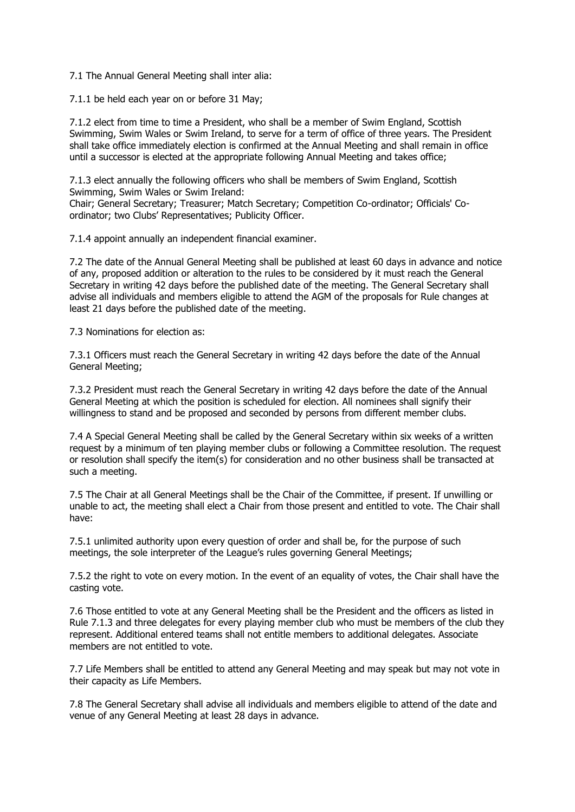7.1 The Annual General Meeting shall inter alia:

7.1.1 be held each year on or before 31 May;

7.1.2 elect from time to time a President, who shall be a member of Swim England, Scottish Swimming, Swim Wales or Swim Ireland, to serve for a term of office of three years. The President shall take office immediately election is confirmed at the Annual Meeting and shall remain in office until a successor is elected at the appropriate following Annual Meeting and takes office;

7.1.3 elect annually the following officers who shall be members of Swim England, Scottish Swimming, Swim Wales or Swim Ireland:

Chair; General Secretary; Treasurer; Match Secretary; Competition Co-ordinator; Officials' Coordinator; two Clubs' Representatives; Publicity Officer.

7.1.4 appoint annually an independent financial examiner.

7.2 The date of the Annual General Meeting shall be published at least 60 days in advance and notice of any, proposed addition or alteration to the rules to be considered by it must reach the General Secretary in writing 42 days before the published date of the meeting. The General Secretary shall advise all individuals and members eligible to attend the AGM of the proposals for Rule changes at least 21 days before the published date of the meeting.

7.3 Nominations for election as:

7.3.1 Officers must reach the General Secretary in writing 42 days before the date of the Annual General Meeting;

7.3.2 President must reach the General Secretary in writing 42 days before the date of the Annual General Meeting at which the position is scheduled for election. All nominees shall signify their willingness to stand and be proposed and seconded by persons from different member clubs.

7.4 A Special General Meeting shall be called by the General Secretary within six weeks of a written request by a minimum of ten playing member clubs or following a Committee resolution. The request or resolution shall specify the item(s) for consideration and no other business shall be transacted at such a meeting.

7.5 The Chair at all General Meetings shall be the Chair of the Committee, if present. If unwilling or unable to act, the meeting shall elect a Chair from those present and entitled to vote. The Chair shall have:

7.5.1 unlimited authority upon every question of order and shall be, for the purpose of such meetings, the sole interpreter of the League's rules governing General Meetings;

7.5.2 the right to vote on every motion. In the event of an equality of votes, the Chair shall have the casting vote.

7.6 Those entitled to vote at any General Meeting shall be the President and the officers as listed in Rule 7.1.3 and three delegates for every playing member club who must be members of the club they represent. Additional entered teams shall not entitle members to additional delegates. Associate members are not entitled to vote.

7.7 Life Members shall be entitled to attend any General Meeting and may speak but may not vote in their capacity as Life Members.

7.8 The General Secretary shall advise all individuals and members eligible to attend of the date and venue of any General Meeting at least 28 days in advance.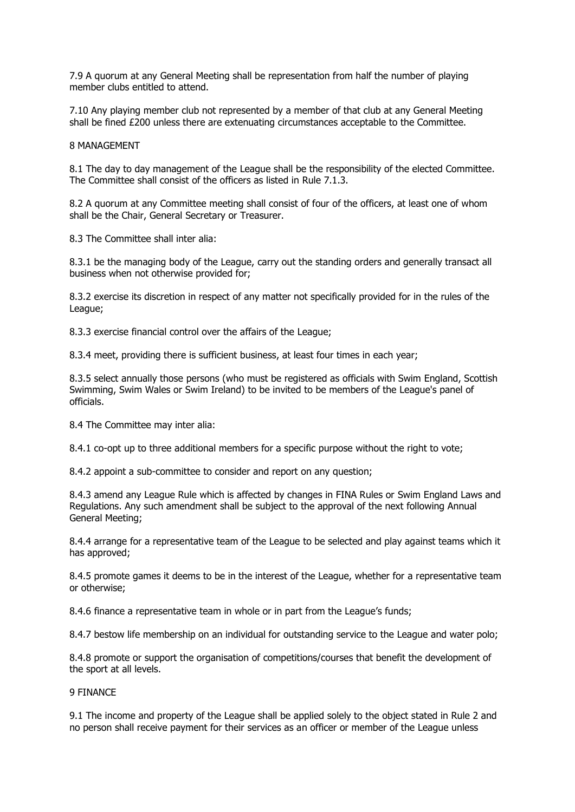7.9 A quorum at any General Meeting shall be representation from half the number of playing member clubs entitled to attend.

7.10 Any playing member club not represented by a member of that club at any General Meeting shall be fined £200 unless there are extenuating circumstances acceptable to the Committee.

8 MANAGEMENT

8.1 The day to day management of the League shall be the responsibility of the elected Committee. The Committee shall consist of the officers as listed in Rule 7.1.3.

8.2 A quorum at any Committee meeting shall consist of four of the officers, at least one of whom shall be the Chair, General Secretary or Treasurer.

8.3 The Committee shall inter alia:

8.3.1 be the managing body of the League, carry out the standing orders and generally transact all business when not otherwise provided for;

8.3.2 exercise its discretion in respect of any matter not specifically provided for in the rules of the League;

8.3.3 exercise financial control over the affairs of the League;

8.3.4 meet, providing there is sufficient business, at least four times in each year;

8.3.5 select annually those persons (who must be registered as officials with Swim England, Scottish Swimming, Swim Wales or Swim Ireland) to be invited to be members of the League's panel of officials.

8.4 The Committee may inter alia:

8.4.1 co-opt up to three additional members for a specific purpose without the right to vote;

8.4.2 appoint a sub-committee to consider and report on any question;

8.4.3 amend any League Rule which is affected by changes in FINA Rules or Swim England Laws and Regulations. Any such amendment shall be subject to the approval of the next following Annual General Meeting;

8.4.4 arrange for a representative team of the League to be selected and play against teams which it has approved;

8.4.5 promote games it deems to be in the interest of the League, whether for a representative team or otherwise;

8.4.6 finance a representative team in whole or in part from the League's funds;

8.4.7 bestow life membership on an individual for outstanding service to the League and water polo;

8.4.8 promote or support the organisation of competitions/courses that benefit the development of the sport at all levels.

# 9 FINANCE

9.1 The income and property of the League shall be applied solely to the object stated in Rule 2 and no person shall receive payment for their services as an officer or member of the League unless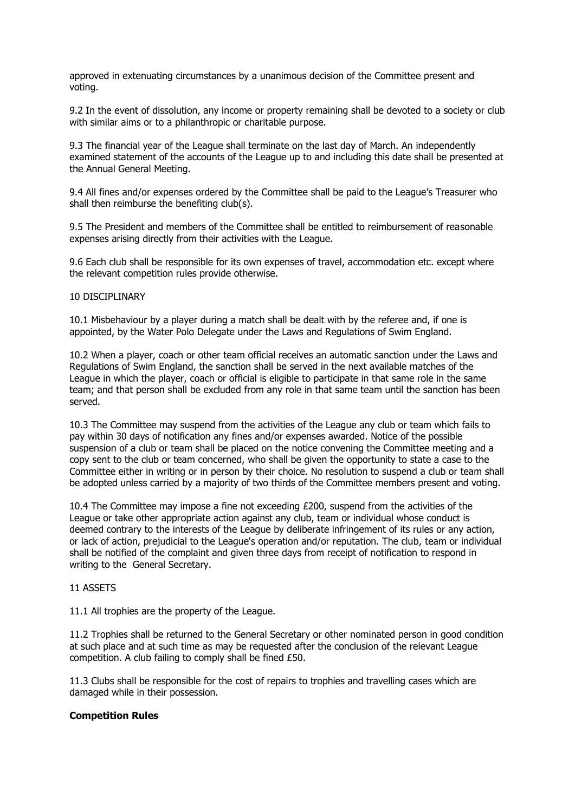approved in extenuating circumstances by a unanimous decision of the Committee present and voting.

9.2 In the event of dissolution, any income or property remaining shall be devoted to a society or club with similar aims or to a philanthropic or charitable purpose.

9.3 The financial year of the League shall terminate on the last day of March. An independently examined statement of the accounts of the League up to and including this date shall be presented at the Annual General Meeting.

9.4 All fines and/or expenses ordered by the Committee shall be paid to the League's Treasurer who shall then reimburse the benefiting club(s).

9.5 The President and members of the Committee shall be entitled to reimbursement of reasonable expenses arising directly from their activities with the League.

9.6 Each club shall be responsible for its own expenses of travel, accommodation etc. except where the relevant competition rules provide otherwise.

# 10 DISCIPLINARY

10.1 Misbehaviour by a player during a match shall be dealt with by the referee and, if one is appointed, by the Water Polo Delegate under the Laws and Regulations of Swim England.

10.2 When a player, coach or other team official receives an automatic sanction under the Laws and Regulations of Swim England, the sanction shall be served in the next available matches of the League in which the player, coach or official is eligible to participate in that same role in the same team; and that person shall be excluded from any role in that same team until the sanction has been served.

10.3 The Committee may suspend from the activities of the League any club or team which fails to pay within 30 days of notification any fines and/or expenses awarded. Notice of the possible suspension of a club or team shall be placed on the notice convening the Committee meeting and a copy sent to the club or team concerned, who shall be given the opportunity to state a case to the Committee either in writing or in person by their choice. No resolution to suspend a club or team shall be adopted unless carried by a majority of two thirds of the Committee members present and voting.

10.4 The Committee may impose a fine not exceeding £200, suspend from the activities of the League or take other appropriate action against any club, team or individual whose conduct is deemed contrary to the interests of the League by deliberate infringement of its rules or any action, or lack of action, prejudicial to the League's operation and/or reputation. The club, team or individual shall be notified of the complaint and given three days from receipt of notification to respond in writing to the General Secretary.

# 11 ASSETS

11.1 All trophies are the property of the League.

11.2 Trophies shall be returned to the General Secretary or other nominated person in good condition at such place and at such time as may be requested after the conclusion of the relevant League competition. A club failing to comply shall be fined £50.

11.3 Clubs shall be responsible for the cost of repairs to trophies and travelling cases which are damaged while in their possession.

#### **Competition Rules**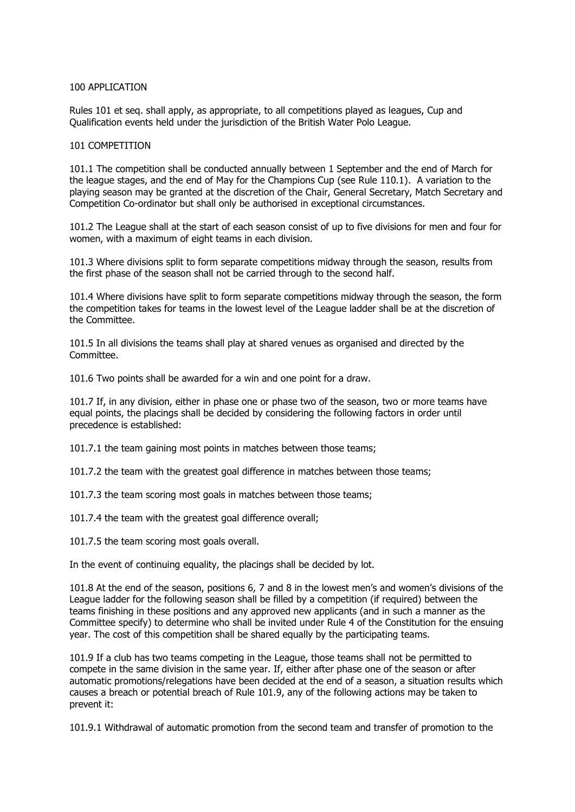# 100 APPLICATION

Rules 101 et seq. shall apply, as appropriate, to all competitions played as leagues, Cup and Qualification events held under the jurisdiction of the British Water Polo League.

# 101 COMPETITION

101.1 The competition shall be conducted annually between 1 September and the end of March for the league stages, and the end of May for the Champions Cup (see Rule 110.1). A variation to the playing season may be granted at the discretion of the Chair, General Secretary, Match Secretary and Competition Co-ordinator but shall only be authorised in exceptional circumstances.

101.2 The League shall at the start of each season consist of up to five divisions for men and four for women, with a maximum of eight teams in each division.

101.3 Where divisions split to form separate competitions midway through the season, results from the first phase of the season shall not be carried through to the second half.

101.4 Where divisions have split to form separate competitions midway through the season, the form the competition takes for teams in the lowest level of the League ladder shall be at the discretion of the Committee.

101.5 In all divisions the teams shall play at shared venues as organised and directed by the Committee.

101.6 Two points shall be awarded for a win and one point for a draw.

101.7 If, in any division, either in phase one or phase two of the season, two or more teams have equal points, the placings shall be decided by considering the following factors in order until precedence is established:

101.7.1 the team gaining most points in matches between those teams;

101.7.2 the team with the greatest goal difference in matches between those teams;

101.7.3 the team scoring most goals in matches between those teams;

101.7.4 the team with the greatest goal difference overall;

101.7.5 the team scoring most goals overall.

In the event of continuing equality, the placings shall be decided by lot.

101.8 At the end of the season, positions 6, 7 and 8 in the lowest men's and women's divisions of the League ladder for the following season shall be filled by a competition (if required) between the teams finishing in these positions and any approved new applicants (and in such a manner as the Committee specify) to determine who shall be invited under Rule 4 of the Constitution for the ensuing year. The cost of this competition shall be shared equally by the participating teams.

101.9 If a club has two teams competing in the League, those teams shall not be permitted to compete in the same division in the same year. If, either after phase one of the season or after automatic promotions/relegations have been decided at the end of a season, a situation results which causes a breach or potential breach of Rule 101.9, any of the following actions may be taken to prevent it:

101.9.1 Withdrawal of automatic promotion from the second team and transfer of promotion to the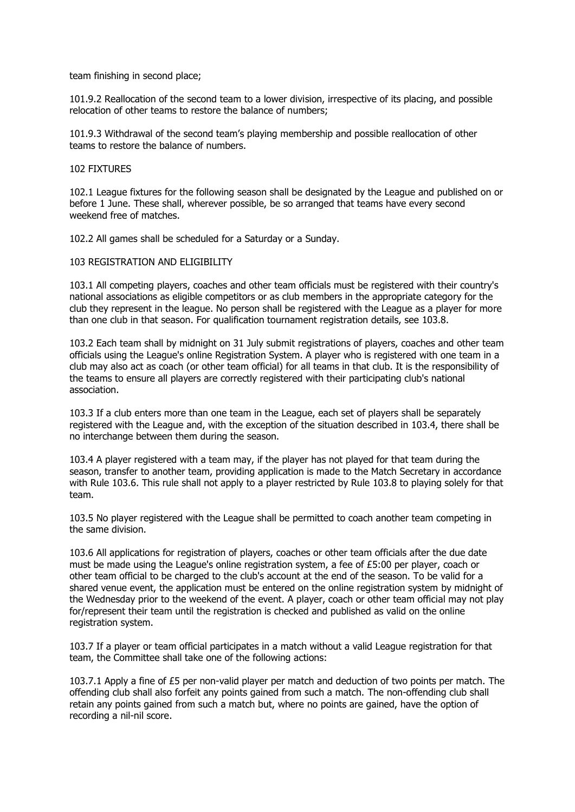team finishing in second place;

101.9.2 Reallocation of the second team to a lower division, irrespective of its placing, and possible relocation of other teams to restore the balance of numbers;

101.9.3 Withdrawal of the second team's playing membership and possible reallocation of other teams to restore the balance of numbers.

# 102 FIXTURES

102.1 League fixtures for the following season shall be designated by the League and published on or before 1 June. These shall, wherever possible, be so arranged that teams have every second weekend free of matches.

102.2 All games shall be scheduled for a Saturday or a Sunday.

# 103 REGISTRATION AND ELIGIBILITY

103.1 All competing players, coaches and other team officials must be registered with their country's national associations as eligible competitors or as club members in the appropriate category for the club they represent in the league. No person shall be registered with the League as a player for more than one club in that season. For qualification tournament registration details, see 103.8.

103.2 Each team shall by midnight on 31 July submit registrations of players, coaches and other team officials using the League's online Registration System. A player who is registered with one team in a club may also act as coach (or other team official) for all teams in that club. It is the responsibility of the teams to ensure all players are correctly registered with their participating club's national association.

103.3 If a club enters more than one team in the League, each set of players shall be separately registered with the League and, with the exception of the situation described in 103.4, there shall be no interchange between them during the season.

103.4 A player registered with a team may, if the player has not played for that team during the season, transfer to another team, providing application is made to the Match Secretary in accordance with Rule 103.6. This rule shall not apply to a player restricted by Rule 103.8 to playing solely for that team.

103.5 No player registered with the League shall be permitted to coach another team competing in the same division.

103.6 All applications for registration of players, coaches or other team officials after the due date must be made using the League's online registration system, a fee of £5:00 per player, coach or other team official to be charged to the club's account at the end of the season. To be valid for a shared venue event, the application must be entered on the online registration system by midnight of the Wednesday prior to the weekend of the event. A player, coach or other team official may not play for/represent their team until the registration is checked and published as valid on the online registration system.

103.7 If a player or team official participates in a match without a valid League registration for that team, the Committee shall take one of the following actions:

103.7.1 Apply a fine of £5 per non-valid player per match and deduction of two points per match. The offending club shall also forfeit any points gained from such a match. The non-offending club shall retain any points gained from such a match but, where no points are gained, have the option of recording a nil-nil score.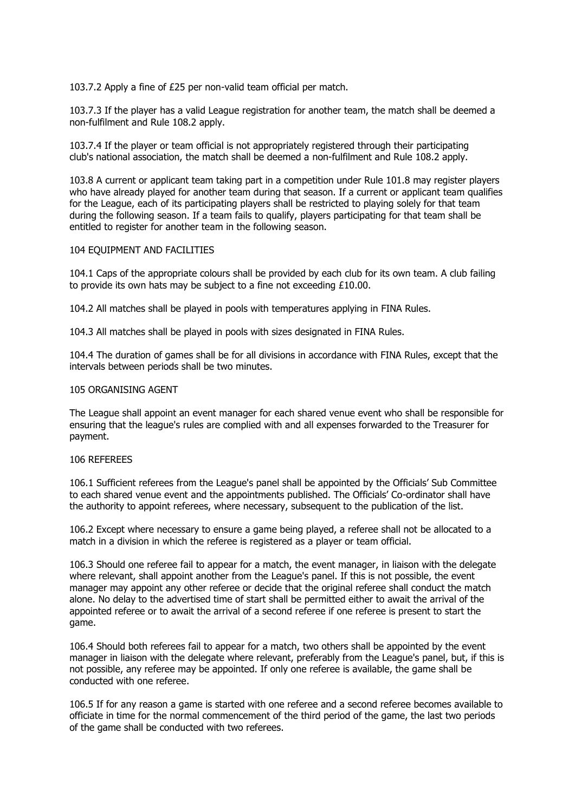103.7.2 Apply a fine of £25 per non-valid team official per match.

103.7.3 If the player has a valid League registration for another team, the match shall be deemed a non-fulfilment and Rule 108.2 apply.

103.7.4 If the player or team official is not appropriately registered through their participating club's national association, the match shall be deemed a non-fulfilment and Rule 108.2 apply.

103.8 A current or applicant team taking part in a competition under Rule 101.8 may register players who have already played for another team during that season. If a current or applicant team qualifies for the League, each of its participating players shall be restricted to playing solely for that team during the following season. If a team fails to qualify, players participating for that team shall be entitled to register for another team in the following season.

# 104 EQUIPMENT AND FACILITIES

104.1 Caps of the appropriate colours shall be provided by each club for its own team. A club failing to provide its own hats may be subject to a fine not exceeding £10.00.

104.2 All matches shall be played in pools with temperatures applying in FINA Rules.

104.3 All matches shall be played in pools with sizes designated in FINA Rules.

104.4 The duration of games shall be for all divisions in accordance with FINA Rules, except that the intervals between periods shall be two minutes.

# 105 ORGANISING AGENT

The League shall appoint an event manager for each shared venue event who shall be responsible for ensuring that the league's rules are complied with and all expenses forwarded to the Treasurer for payment.

#### 106 REFEREES

106.1 Sufficient referees from the League's panel shall be appointed by the Officials' Sub Committee to each shared venue event and the appointments published. The Officials' Co-ordinator shall have the authority to appoint referees, where necessary, subsequent to the publication of the list.

106.2 Except where necessary to ensure a game being played, a referee shall not be allocated to a match in a division in which the referee is registered as a player or team official.

106.3 Should one referee fail to appear for a match, the event manager, in liaison with the delegate where relevant, shall appoint another from the League's panel. If this is not possible, the event manager may appoint any other referee or decide that the original referee shall conduct the match alone. No delay to the advertised time of start shall be permitted either to await the arrival of the appointed referee or to await the arrival of a second referee if one referee is present to start the game.

106.4 Should both referees fail to appear for a match, two others shall be appointed by the event manager in liaison with the delegate where relevant, preferably from the League's panel, but, if this is not possible, any referee may be appointed. If only one referee is available, the game shall be conducted with one referee.

106.5 If for any reason a game is started with one referee and a second referee becomes available to officiate in time for the normal commencement of the third period of the game, the last two periods of the game shall be conducted with two referees.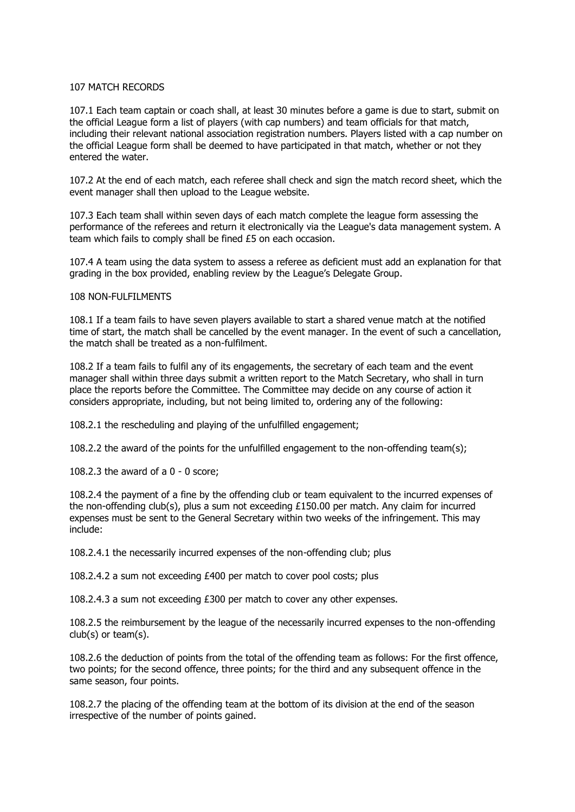# 107 MATCH RECORDS

107.1 Each team captain or coach shall, at least 30 minutes before a game is due to start, submit on the official League form a list of players (with cap numbers) and team officials for that match, including their relevant national association registration numbers. Players listed with a cap number on the official League form shall be deemed to have participated in that match, whether or not they entered the water.

107.2 At the end of each match, each referee shall check and sign the match record sheet, which the event manager shall then upload to the League website.

107.3 Each team shall within seven days of each match complete the league form assessing the performance of the referees and return it electronically via the League's data management system. A team which fails to comply shall be fined £5 on each occasion.

107.4 A team using the data system to assess a referee as deficient must add an explanation for that grading in the box provided, enabling review by the League's Delegate Group.

#### 108 NON-FULFILMENTS

108.1 If a team fails to have seven players available to start a shared venue match at the notified time of start, the match shall be cancelled by the event manager. In the event of such a cancellation, the match shall be treated as a non-fulfilment.

108.2 If a team fails to fulfil any of its engagements, the secretary of each team and the event manager shall within three days submit a written report to the Match Secretary, who shall in turn place the reports before the Committee. The Committee may decide on any course of action it considers appropriate, including, but not being limited to, ordering any of the following:

108.2.1 the rescheduling and playing of the unfulfilled engagement;

108.2.2 the award of the points for the unfulfilled engagement to the non-offending team(s);

108.2.3 the award of a 0 - 0 score;

108.2.4 the payment of a fine by the offending club or team equivalent to the incurred expenses of the non-offending club(s), plus a sum not exceeding £150.00 per match. Any claim for incurred expenses must be sent to the General Secretary within two weeks of the infringement. This may include:

108.2.4.1 the necessarily incurred expenses of the non-offending club; plus

108.2.4.2 a sum not exceeding £400 per match to cover pool costs; plus

108.2.4.3 a sum not exceeding £300 per match to cover any other expenses.

108.2.5 the reimbursement by the league of the necessarily incurred expenses to the non-offending club(s) or team(s).

108.2.6 the deduction of points from the total of the offending team as follows: For the first offence, two points; for the second offence, three points; for the third and any subsequent offence in the same season, four points.

108.2.7 the placing of the offending team at the bottom of its division at the end of the season irrespective of the number of points gained.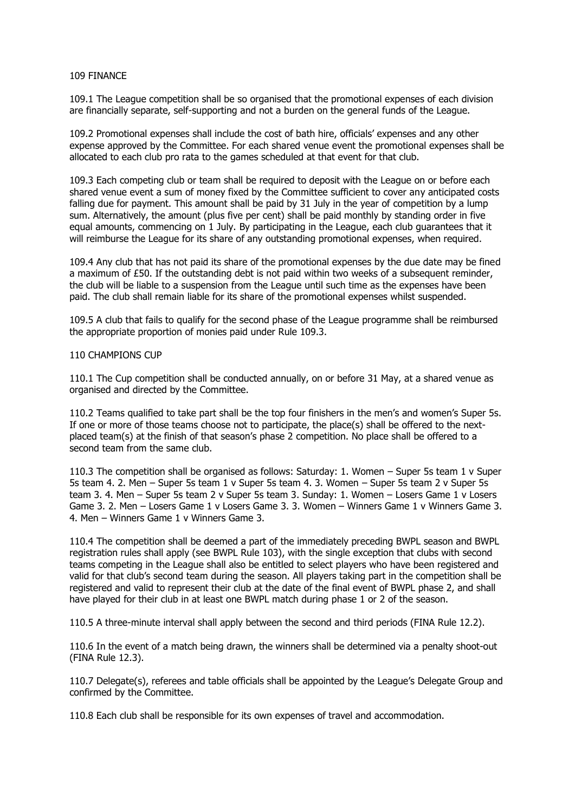#### 109 FINANCE

109.1 The League competition shall be so organised that the promotional expenses of each division are financially separate, self-supporting and not a burden on the general funds of the League.

109.2 Promotional expenses shall include the cost of bath hire, officials' expenses and any other expense approved by the Committee. For each shared venue event the promotional expenses shall be allocated to each club pro rata to the games scheduled at that event for that club.

109.3 Each competing club or team shall be required to deposit with the League on or before each shared venue event a sum of money fixed by the Committee sufficient to cover any anticipated costs falling due for payment. This amount shall be paid by 31 July in the year of competition by a lump sum. Alternatively, the amount (plus five per cent) shall be paid monthly by standing order in five equal amounts, commencing on 1 July. By participating in the League, each club guarantees that it will reimburse the League for its share of any outstanding promotional expenses, when required.

109.4 Any club that has not paid its share of the promotional expenses by the due date may be fined a maximum of  $£50$ . If the outstanding debt is not paid within two weeks of a subsequent reminder, the club will be liable to a suspension from the League until such time as the expenses have been paid. The club shall remain liable for its share of the promotional expenses whilst suspended.

109.5 A club that fails to qualify for the second phase of the League programme shall be reimbursed the appropriate proportion of monies paid under Rule 109.3.

#### 110 CHAMPIONS CUP

110.1 The Cup competition shall be conducted annually, on or before 31 May, at a shared venue as organised and directed by the Committee.

110.2 Teams qualified to take part shall be the top four finishers in the men's and women's Super 5s. If one or more of those teams choose not to participate, the place(s) shall be offered to the nextplaced team(s) at the finish of that season's phase 2 competition. No place shall be offered to a second team from the same club.

110.3 The competition shall be organised as follows: Saturday: 1. Women – Super 5s team 1 v Super 5s team 4. 2. Men – Super 5s team 1 v Super 5s team 4. 3. Women – Super 5s team 2 v Super 5s team 3. 4. Men – Super 5s team 2 v Super 5s team 3. Sunday: 1. Women – Losers Game 1 v Losers Game 3. 2. Men – Losers Game 1 v Losers Game 3. 3. Women – Winners Game 1 v Winners Game 3. 4. Men – Winners Game 1 v Winners Game 3.

110.4 The competition shall be deemed a part of the immediately preceding BWPL season and BWPL registration rules shall apply (see BWPL Rule 103), with the single exception that clubs with second teams competing in the League shall also be entitled to select players who have been registered and valid for that club's second team during the season. All players taking part in the competition shall be registered and valid to represent their club at the date of the final event of BWPL phase 2, and shall have played for their club in at least one BWPL match during phase 1 or 2 of the season.

110.5 A three-minute interval shall apply between the second and third periods (FINA Rule 12.2).

110.6 In the event of a match being drawn, the winners shall be determined via a penalty shoot-out (FINA Rule 12.3).

110.7 Delegate(s), referees and table officials shall be appointed by the League's Delegate Group and confirmed by the Committee.

110.8 Each club shall be responsible for its own expenses of travel and accommodation.